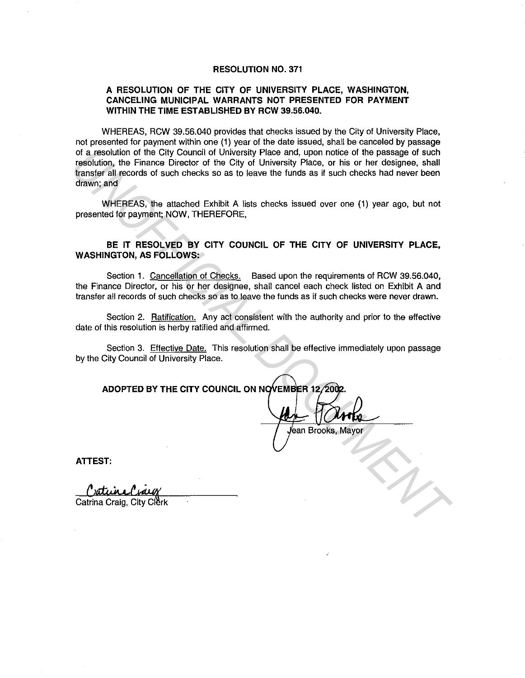#### **RESOLUTION NO. 371**

#### **A RESOLUTION OF THE CITY OF UNIVERSITY PLACE, WASHINGTON, CANCELING MUNICIPAL WARRANTS NOT PRESENTED FOR PAYMENT WITHIN THE TIME ESTABLISHED BY RCW 39.56.040.**

WHEREAS, RCW 39.56.040 provides that checks issued by the City of University Place, not presented for payment within one (1) year of the date issued, shall be canceled by passage of a resolution of the City Council of University Place and, upon notice of the passage of such resolution, the Finance Director of the City of University Place, or his or her designee, shall transfer all records of such checks so as to leave the funds as if such checks had never been drawn; and of a resolution of the City Council of University Place and, upon rotice of the City of the City of University Place, or his or her designes, shall transfer all records of such checks so as to loave the tunds as if such ch

WHEREAS, the attached Exhibit A lists checks issued over one (1) year ago, but not presented for payment; NOW, THEREFORE,

### **BE IT RESOLVED BY CITY COUNCIL OF THE CITY OF UNIVERSITY PLACE, WASHINGTON, AS FOLLOWS:**

Section 1. Cancellation of Checks. Based upon the requirements of RCW 39.56.040, the Finance Director, or his or her designee, shall cancel each check listed on Exhibit A and transfer all records of such checks so as to leave the funds as if such checks were never drawn.

Section 2. Ratification. Any act consistent with the authority and prior to the effective date of this resolution is herby ratified and affirmed.

Section 3. Effective Date. This resolution shall be effective immediately upon passage by the City Council of University Place.

**ADOPTED BY THE CITY COUNCIL ON NOVEMBER 12/200** 

**ATTEST:**